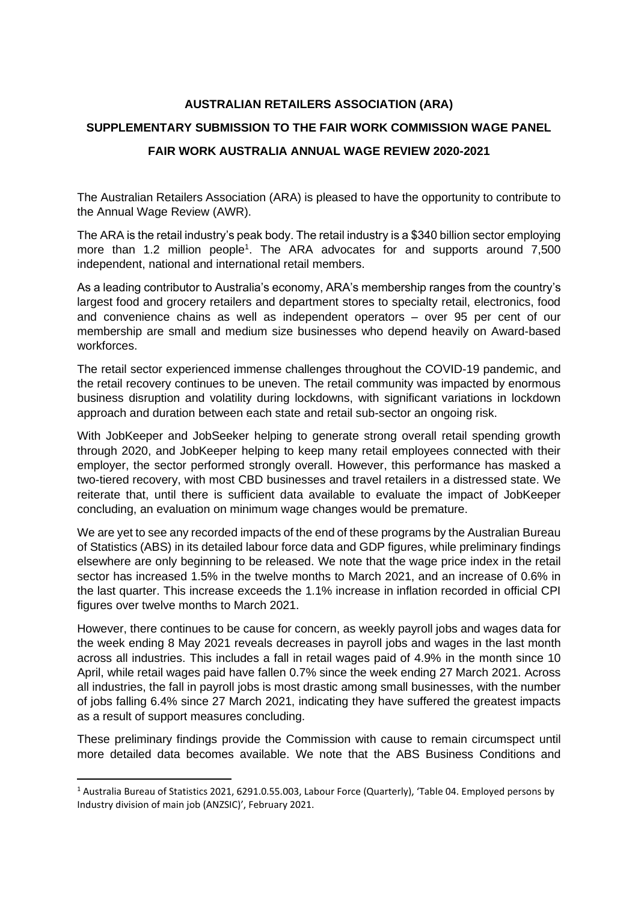## **AUSTRALIAN RETAILERS ASSOCIATION (ARA)**

## **SUPPLEMENTARY SUBMISSION TO THE FAIR WORK COMMISSION WAGE PANEL FAIR WORK AUSTRALIA ANNUAL WAGE REVIEW 2020-2021**

The Australian Retailers Association (ARA) is pleased to have the opportunity to contribute to the Annual Wage Review (AWR).

The ARA is the retail industry's peak body. The retail industry is a \$340 billion sector employing more than 1.2 million people<sup>1</sup>. The ARA advocates for and supports around 7,500 independent, national and international retail members.

As a leading contributor to Australia's economy, ARA's membership ranges from the country's largest food and grocery retailers and department stores to specialty retail, electronics, food and convenience chains as well as independent operators – over 95 per cent of our membership are small and medium size businesses who depend heavily on Award-based workforces.

The retail sector experienced immense challenges throughout the COVID-19 pandemic, and the retail recovery continues to be uneven. The retail community was impacted by enormous business disruption and volatility during lockdowns, with significant variations in lockdown approach and duration between each state and retail sub-sector an ongoing risk.

With JobKeeper and JobSeeker helping to generate strong overall retail spending growth through 2020, and JobKeeper helping to keep many retail employees connected with their employer, the sector performed strongly overall. However, this performance has masked a two-tiered recovery, with most CBD businesses and travel retailers in a distressed state. We reiterate that, until there is sufficient data available to evaluate the impact of JobKeeper concluding, an evaluation on minimum wage changes would be premature.

We are yet to see any recorded impacts of the end of these programs by the Australian Bureau of Statistics (ABS) in its detailed labour force data and GDP figures, while preliminary findings elsewhere are only beginning to be released. We note that the wage price index in the retail sector has increased 1.5% in the twelve months to March 2021, and an increase of 0.6% in the last quarter. This increase exceeds the 1.1% increase in inflation recorded in official CPI figures over twelve months to March 2021.

However, there continues to be cause for concern, as weekly payroll jobs and wages data for the week ending 8 May 2021 reveals decreases in payroll jobs and wages in the last month across all industries. This includes a fall in retail wages paid of 4.9% in the month since 10 April, while retail wages paid have fallen 0.7% since the week ending 27 March 2021. Across all industries, the fall in payroll jobs is most drastic among small businesses, with the number of jobs falling 6.4% since 27 March 2021, indicating they have suffered the greatest impacts as a result of support measures concluding.

These preliminary findings provide the Commission with cause to remain circumspect until more detailed data becomes available. We note that the ABS Business Conditions and

<sup>1</sup> Australia Bureau of Statistics 2021, 6291.0.55.003, Labour Force (Quarterly), 'Table 04. Employed persons by Industry division of main job (ANZSIC)', February 2021.